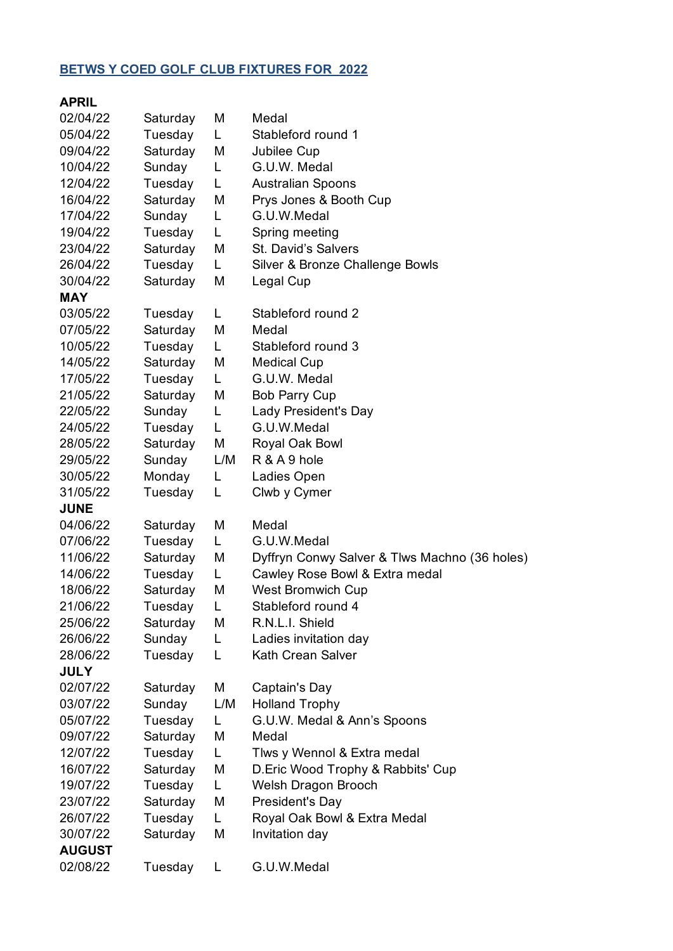## **BETWS Y COED GOLF CLUB FIXTURES FOR 2022**

| <b>APRIL</b>  |          |     |                                               |
|---------------|----------|-----|-----------------------------------------------|
| 02/04/22      | Saturday | M   | Medal                                         |
| 05/04/22      | Tuesday  | L.  | Stableford round 1                            |
| 09/04/22      | Saturday | M   | Jubilee Cup                                   |
| 10/04/22      | Sunday   | L   | G.U.W. Medal                                  |
| 12/04/22      | Tuesday  | L.  | <b>Australian Spoons</b>                      |
| 16/04/22      | Saturday | M   | Prys Jones & Booth Cup                        |
| 17/04/22      | Sunday   | L.  | G.U.W.Medal                                   |
| 19/04/22      | Tuesday  | L   | Spring meeting                                |
| 23/04/22      | Saturday | М   | St. David's Salvers                           |
| 26/04/22      | Tuesday  | L.  | Silver & Bronze Challenge Bowls               |
| 30/04/22      | Saturday | M   | Legal Cup                                     |
| <b>MAY</b>    |          |     |                                               |
| 03/05/22      | Tuesday  | L.  | Stableford round 2                            |
| 07/05/22      | Saturday | M   | Medal                                         |
| 10/05/22      | Tuesday  | L.  | Stableford round 3                            |
| 14/05/22      | Saturday | M   | <b>Medical Cup</b>                            |
| 17/05/22      | Tuesday  | L.  | G.U.W. Medal                                  |
| 21/05/22      | Saturday | M   | <b>Bob Parry Cup</b>                          |
| 22/05/22      | Sunday   | L   | Lady President's Day                          |
| 24/05/22      | Tuesday  | L.  | G.U.W.Medal                                   |
| 28/05/22      | Saturday | M   | Royal Oak Bowl                                |
| 29/05/22      | Sunday   | L/M | R & A 9 hole                                  |
| 30/05/22      | Monday   | L   | Ladies Open                                   |
| 31/05/22      | Tuesday  | L   | Clwb y Cymer                                  |
| <b>JUNE</b>   |          |     |                                               |
| 04/06/22      | Saturday | M   | Medal                                         |
| 07/06/22      | Tuesday  | L.  | G.U.W.Medal                                   |
| 11/06/22      | Saturday | M   | Dyffryn Conwy Salver & Tlws Machno (36 holes) |
| 14/06/22      | Tuesday  | L.  | Cawley Rose Bowl & Extra medal                |
| 18/06/22      | Saturday | М   | <b>West Bromwich Cup</b>                      |
| 21/06/22      | Tuesday  | L   | Stableford round 4                            |
| 25/06/22      | Saturday | М   | R.N.L.I. Shield                               |
| 26/06/22      | Sunday   | L.  | Ladies invitation day                         |
| 28/06/22      | Tuesday  | L   | Kath Crean Salver                             |
| <b>JULY</b>   |          |     |                                               |
| 02/07/22      | Saturday | M   | Captain's Day                                 |
| 03/07/22      | Sunday   | L/M | <b>Holland Trophy</b>                         |
| 05/07/22      | Tuesday  | L.  | G.U.W. Medal & Ann's Spoons                   |
| 09/07/22      | Saturday | М   | Medal                                         |
| 12/07/22      | Tuesday  | L.  | Tlws y Wennol & Extra medal                   |
| 16/07/22      | Saturday | M   | D. Eric Wood Trophy & Rabbits' Cup            |
| 19/07/22      | Tuesday  | L.  | Welsh Dragon Brooch                           |
| 23/07/22      | Saturday | M   | President's Day                               |
| 26/07/22      | Tuesday  | L.  | Royal Oak Bowl & Extra Medal                  |
| 30/07/22      | Saturday | M   | Invitation day                                |
| <b>AUGUST</b> |          |     |                                               |
| 02/08/22      | Tuesday  | L   | G.U.W.Medal                                   |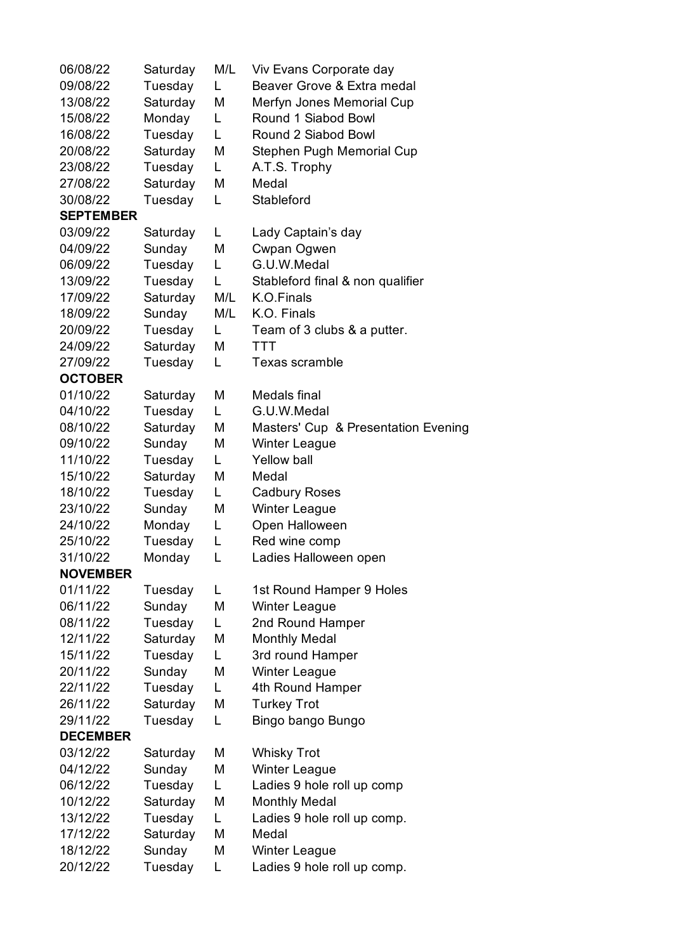| 06/08/22         | Saturday | M/L | Viv Evans Corporate day             |
|------------------|----------|-----|-------------------------------------|
| 09/08/22         | Tuesday  | L   | Beaver Grove & Extra medal          |
| 13/08/22         | Saturday | M   | Merfyn Jones Memorial Cup           |
| 15/08/22         | Monday   | L   | Round 1 Siabod Bowl                 |
| 16/08/22         | Tuesday  | L   | Round 2 Siabod Bowl                 |
| 20/08/22         | Saturday | M   | Stephen Pugh Memorial Cup           |
| 23/08/22         | Tuesday  | L   | A.T.S. Trophy                       |
| 27/08/22         | Saturday | M   | Medal                               |
| 30/08/22         | Tuesday  | L   | Stableford                          |
| <b>SEPTEMBER</b> |          |     |                                     |
| 03/09/22         | Saturday | L.  | Lady Captain's day                  |
| 04/09/22         | Sunday   | M   | Cwpan Ogwen                         |
| 06/09/22         | Tuesday  | L   | G.U.W.Medal                         |
| 13/09/22         | Tuesday  | L   | Stableford final & non qualifier    |
| 17/09/22         | Saturday | M/L | K.O.Finals                          |
| 18/09/22         | Sunday   | M/L | K.O. Finals                         |
| 20/09/22         | Tuesday  | L   | Team of 3 clubs & a putter.         |
| 24/09/22         | Saturday | M   | <b>TTT</b>                          |
| 27/09/22         | Tuesday  | L   | Texas scramble                      |
| <b>OCTOBER</b>   |          |     |                                     |
| 01/10/22         | Saturday | M   | Medals final                        |
| 04/10/22         | Tuesday  | L.  | G.U.W.Medal                         |
| 08/10/22         | Saturday | M   | Masters' Cup & Presentation Evening |
| 09/10/22         | Sunday   | М   | <b>Winter League</b>                |
| 11/10/22         | Tuesday  | L   | <b>Yellow ball</b>                  |
| 15/10/22         | Saturday | M   | Medal                               |
| 18/10/22         | Tuesday  | L   | <b>Cadbury Roses</b>                |
| 23/10/22         | Sunday   | M   | <b>Winter League</b>                |
| 24/10/22         | Monday   | L   | Open Halloween                      |
| 25/10/22         | Tuesday  | L   | Red wine comp                       |
| 31/10/22         | Monday   | L   | Ladies Halloween open               |
| <b>NOVEMBER</b>  |          |     |                                     |
| 01/11/22         | Tuesday  | L   | 1st Round Hamper 9 Holes            |
| 06/11/22         | Sunday   | М   | <b>Winter League</b>                |
| 08/11/22         | Tuesday  | L.  | 2nd Round Hamper                    |
| 12/11/22         | Saturday | M   | <b>Monthly Medal</b>                |
| 15/11/22         | Tuesday  | L   | 3rd round Hamper                    |
| 20/11/22         | Sunday   | M   | <b>Winter League</b>                |
| 22/11/22         | Tuesday  | L   | 4th Round Hamper                    |
| 26/11/22         | Saturday | М   | <b>Turkey Trot</b>                  |
| 29/11/22         | Tuesday  | L   | Bingo bango Bungo                   |
| <b>DECEMBER</b>  |          |     |                                     |
| 03/12/22         | Saturday | М   | <b>Whisky Trot</b>                  |
| 04/12/22         | Sunday   | М   | Winter League                       |
| 06/12/22         | Tuesday  | L   | Ladies 9 hole roll up comp          |
| 10/12/22         | Saturday | M   | <b>Monthly Medal</b>                |
| 13/12/22         | Tuesday  | L   | Ladies 9 hole roll up comp.         |
| 17/12/22         | Saturday | M   | Medal                               |
| 18/12/22         | Sunday   | М   | <b>Winter League</b>                |
| 20/12/22         | Tuesday  | L   | Ladies 9 hole roll up comp.         |
|                  |          |     |                                     |